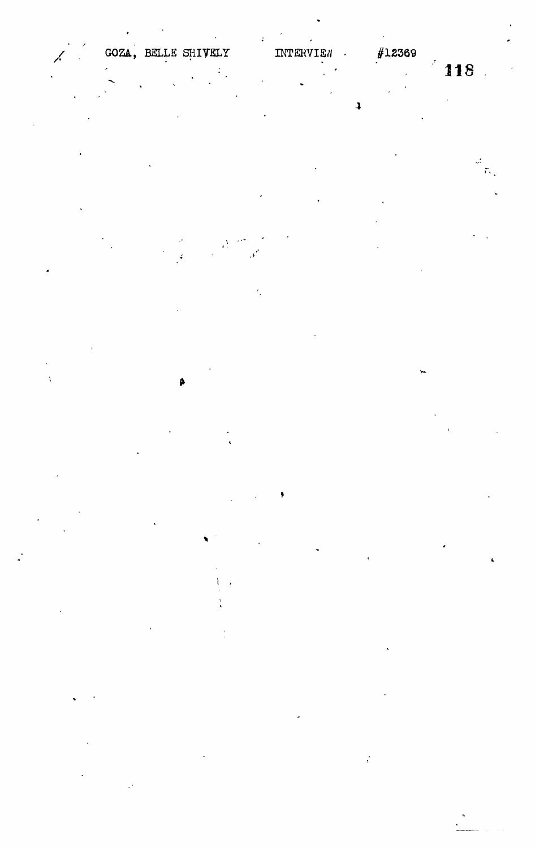A

## #12369

118

 $\mathbf{r}$  $\tilde{\mathcal{L}}$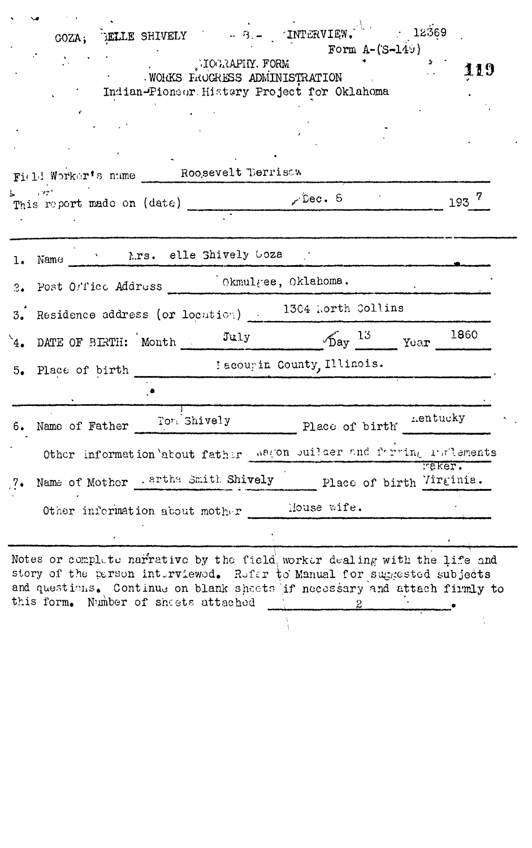| GOZA; FELLE SHIVELY $-3 - 2N$ TRTERVIEW. 12369<br>TOGRAPHY. FORM<br>WORKS FROGRESS ADMINISTRATION<br>Indian-Pioneer History Project for Oklahoma<br>Field Worker's name Roosevelt Terrisaw | Form $A-(S-149)$<br>2.<br>119                                                                                                                          |
|--------------------------------------------------------------------------------------------------------------------------------------------------------------------------------------------|--------------------------------------------------------------------------------------------------------------------------------------------------------|
| <b>Show 1977</b><br>This report made on (date) ___________ riec. 8                                                                                                                         | $=$ 193 $^7$                                                                                                                                           |
| Name N.rs. elle Shively Goza<br>1.                                                                                                                                                         |                                                                                                                                                        |
| Post Office Address Ckmulgee, Oklahoma.<br>3.                                                                                                                                              |                                                                                                                                                        |
| Residence address (or location) 1304 horth Collins<br>3.                                                                                                                                   |                                                                                                                                                        |
| 4. DATE OF BIRTH: Month $July$ $\frac{July}{Day}$ 13 $\frac{13}{Year}$ 1860                                                                                                                |                                                                                                                                                        |
| 5. Place of birth [ scourin County, Illinois.                                                                                                                                              |                                                                                                                                                        |
| Name of Father Form Shively<br>6.                                                                                                                                                          | Place of birth "entucky                                                                                                                                |
| Other information <i>'about father</i>                                                                                                                                                     | wagon builder and farring ratlements<br><b>Faker.</b>                                                                                                  |
| Name of Mother . artha Smith Shively<br>7.                                                                                                                                                 | Place of birth Virginia.                                                                                                                               |
| Other information about mother                                                                                                                                                             | Mouse wife.                                                                                                                                            |
| story of the person interviewed. Refer to Manual for suggested subjects<br>this form. Number of sheets attached                                                                            | Notes or complete narrative by the field worker dealing with the life and<br>and questions. Continue on blank shaets if necessary and attach firmly to |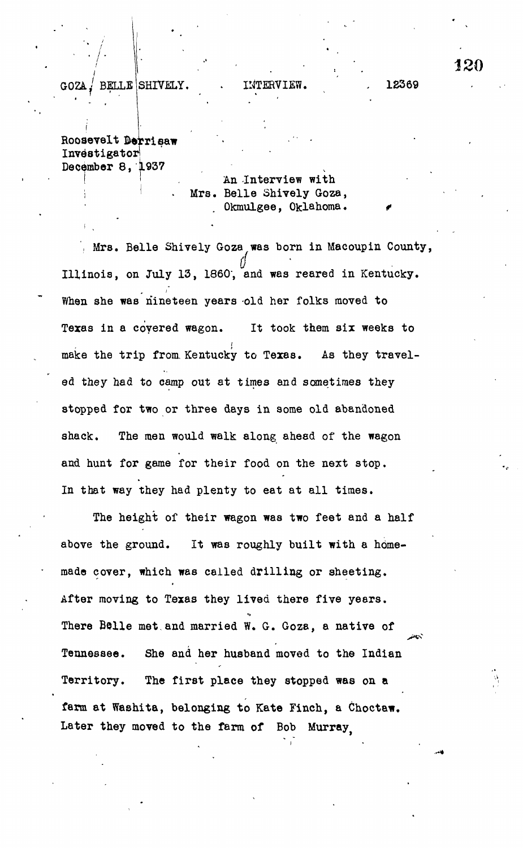GOZA / BELLE SHIVELY.

INTERVIEW. 12369

I Roosevelt Derrisaw Investigator December 8, 1937

> An Interview with Mrs. Belle Shively Goza, Okmulgee, Oklahoma.

', Mrs. Belle Shively Goza was born in Macoupin County, Illinois, on July 13, 1860, and was reared in Kentucky. When she was nineteen years old her folks moved to When she was nineteen years old her folks moved to make the trip from Kentucky to Texas. As they travelmake the trip from. Kentucky to Texas. As they travelstopped for two or three days in some old abandoned stopped for two or three days in some old abandoned and hunt for game for their food on the next stop. and hunt for game for the next stop. The next stop  $\mathcal{A}$  is the next stop on the next stop.

The height of their wave feet and a half-control  $\mathcal{M}$  their was two feet and a half-control  $\mathcal{M}$ made cover, which was called drilling or sheeting. After moving to Texas they lived there five years.  $\overline{\mathcal{A}}$ There Belle met and married W. G. Goza, a native of There Belle met.and married W. G. Goza, a native of Tennessee. She and her husband moved to the Indian Tennessee. She and her husband moved to the Indian Territory. The first place they stopped was on a  $T_{\rm eff}$  the first place they stopped was on a stopped was on a stopped was on a stopped was on a stopped was on a stopped was on a stopped was on a stopped was on a stopped was on a stopped was on a stopped was on a stop farm at Washita, belonging to Kate Finch, a Choctaw. Later they moved to the farm of Bob Murray.

In that way they had plenty to eat at all times.